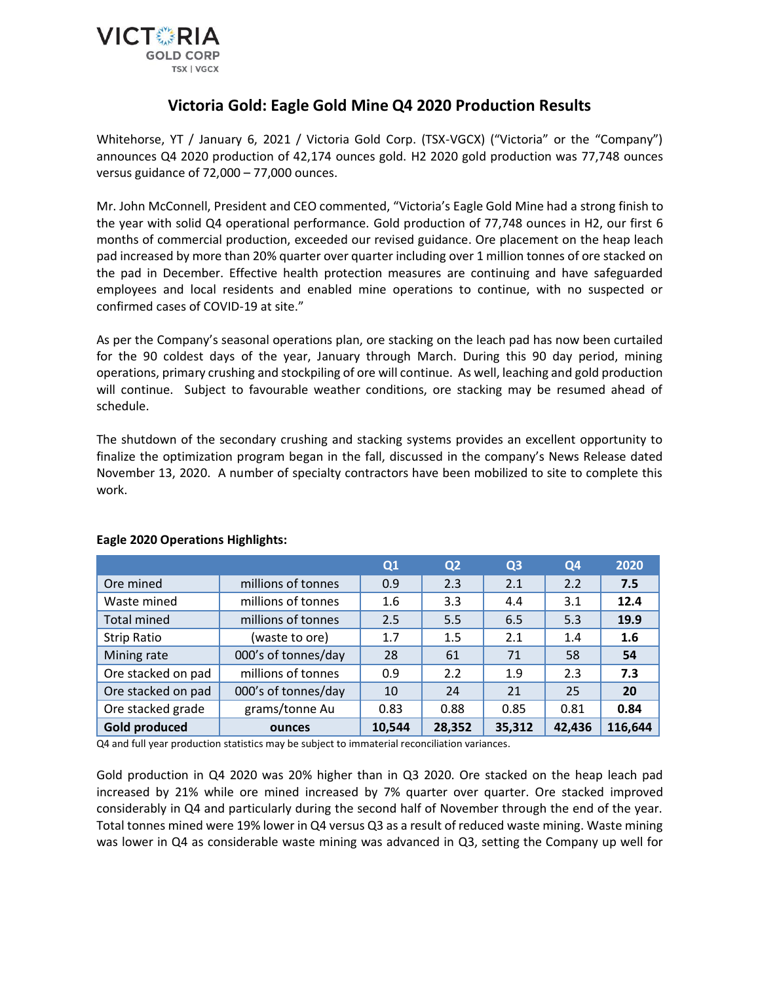

# **Victoria Gold: Eagle Gold Mine Q4 2020 Production Results**

Whitehorse, YT / January 6, 2021 / Victoria Gold Corp. (TSX-VGCX) ("Victoria" or the "Company") announces Q4 2020 production of 42,174 ounces gold. H2 2020 gold production was 77,748 ounces versus guidance of 72,000 – 77,000 ounces.

Mr. John McConnell, President and CEO commented, "Victoria's Eagle Gold Mine had a strong finish to the year with solid Q4 operational performance. Gold production of 77,748 ounces in H2, our first 6 months of commercial production, exceeded our revised guidance. Ore placement on the heap leach pad increased by more than 20% quarter over quarter including over 1 million tonnes of ore stacked on the pad in December. Effective health protection measures are continuing and have safeguarded employees and local residents and enabled mine operations to continue, with no suspected or confirmed cases of COVID-19 at site."

As per the Company's seasonal operations plan, ore stacking on the leach pad has now been curtailed for the 90 coldest days of the year, January through March. During this 90 day period, mining operations, primary crushing and stockpiling of ore will continue. As well, leaching and gold production will continue. Subject to favourable weather conditions, ore stacking may be resumed ahead of schedule.

The shutdown of the secondary crushing and stacking systems provides an excellent opportunity to finalize the optimization program began in the fall, discussed in the company's News Release dated November 13, 2020. A number of specialty contractors have been mobilized to site to complete this work.

|                      |                     | Q1     | Q <sub>2</sub> | Q <sub>3</sub> | Q4     | 2020    |
|----------------------|---------------------|--------|----------------|----------------|--------|---------|
| Ore mined            | millions of tonnes  | 0.9    | 2.3            | 2.1            | 2.2    | 7.5     |
| Waste mined          | millions of tonnes  | 1.6    | 3.3            | 4.4            | 3.1    | 12.4    |
| <b>Total mined</b>   | millions of tonnes  | 2.5    | 5.5            | 6.5            | 5.3    | 19.9    |
| Strip Ratio          | (waste to ore)      | 1.7    | 1.5            | 2.1            | 1.4    | 1.6     |
| Mining rate          | 000's of tonnes/day | 28     | 61             | 71             | 58     | 54      |
| Ore stacked on pad   | millions of tonnes  | 0.9    | 2.2            | 1.9            | 2.3    | 7.3     |
| Ore stacked on pad   | 000's of tonnes/day | 10     | 24             | 21             | 25     | 20      |
| Ore stacked grade    | grams/tonne Au      | 0.83   | 0.88           | 0.85           | 0.81   | 0.84    |
| <b>Gold produced</b> | ounces              | 10,544 | 28,352         | 35,312         | 42,436 | 116,644 |

## **Eagle 2020 Operations Highlights:**

Q4 and full year production statistics may be subject to immaterial reconciliation variances.

Gold production in Q4 2020 was 20% higher than in Q3 2020. Ore stacked on the heap leach pad increased by 21% while ore mined increased by 7% quarter over quarter. Ore stacked improved considerably in Q4 and particularly during the second half of November through the end of the year. Total tonnes mined were 19% lower in Q4 versus Q3 as a result of reduced waste mining. Waste mining was lower in Q4 as considerable waste mining was advanced in Q3, setting the Company up well for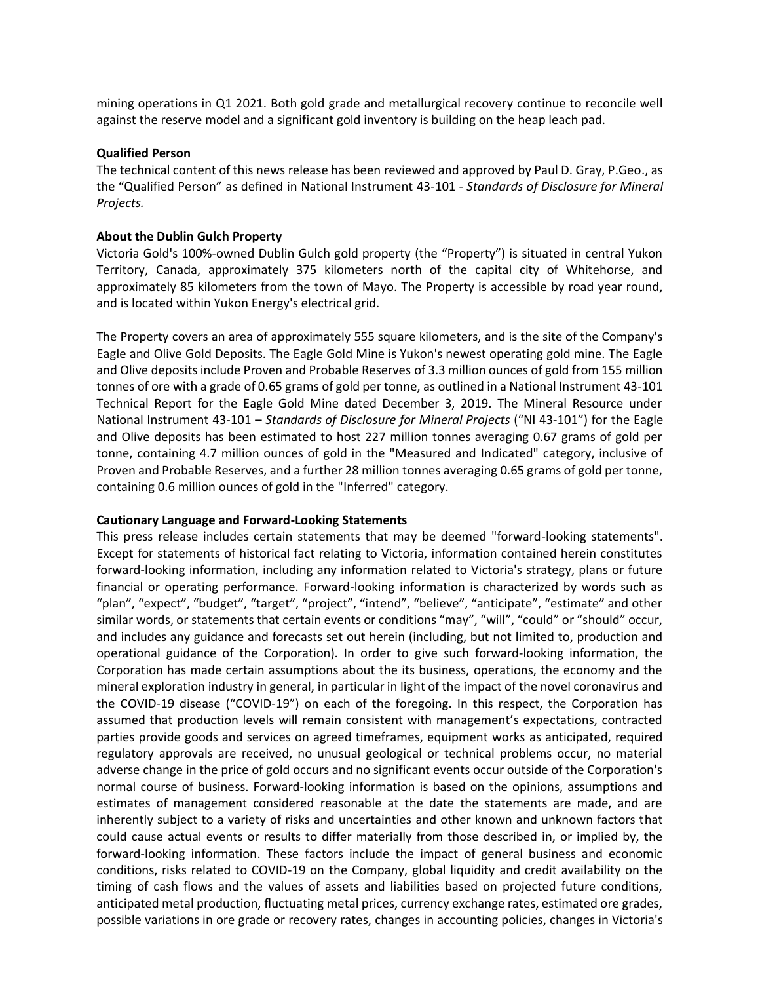mining operations in Q1 2021. Both gold grade and metallurgical recovery continue to reconcile well against the reserve model and a significant gold inventory is building on the heap leach pad.

#### **Qualified Person**

The technical content of this news release has been reviewed and approved by Paul D. Gray, P.Geo., as the "Qualified Person" as defined in National Instrument 43-101 - *Standards of Disclosure for Mineral Projects.*

#### **About the Dublin Gulch Property**

Victoria Gold's 100%-owned Dublin Gulch gold property (the "Property") is situated in central Yukon Territory, Canada, approximately 375 kilometers north of the capital city of Whitehorse, and approximately 85 kilometers from the town of Mayo. The Property is accessible by road year round, and is located within Yukon Energy's electrical grid.

The Property covers an area of approximately 555 square kilometers, and is the site of the Company's Eagle and Olive Gold Deposits. The Eagle Gold Mine is Yukon's newest operating gold mine. The Eagle and Olive deposits include Proven and Probable Reserves of 3.3 million ounces of gold from 155 million tonnes of ore with a grade of 0.65 grams of gold per tonne, as outlined in a National Instrument 43-101 Technical Report for the Eagle Gold Mine dated December 3, 2019. The Mineral Resource under National Instrument 43-101 – *Standards of Disclosure for Mineral Projects* ("NI 43-101") for the Eagle and Olive deposits has been estimated to host 227 million tonnes averaging 0.67 grams of gold per tonne, containing 4.7 million ounces of gold in the "Measured and Indicated" category, inclusive of Proven and Probable Reserves, and a further 28 million tonnes averaging 0.65 grams of gold per tonne, containing 0.6 million ounces of gold in the "Inferred" category.

#### **Cautionary Language and Forward-Looking Statements**

This press release includes certain statements that may be deemed "forward-looking statements". Except for statements of historical fact relating to Victoria, information contained herein constitutes forward-looking information, including any information related to Victoria's strategy, plans or future financial or operating performance. Forward-looking information is characterized by words such as "plan", "expect", "budget", "target", "project", "intend", "believe", "anticipate", "estimate" and other similar words, or statements that certain events or conditions "may", "will", "could" or "should" occur, and includes any guidance and forecasts set out herein (including, but not limited to, production and operational guidance of the Corporation). In order to give such forward-looking information, the Corporation has made certain assumptions about the its business, operations, the economy and the mineral exploration industry in general, in particular in light of the impact of the novel coronavirus and the COVID-19 disease ("COVID-19") on each of the foregoing. In this respect, the Corporation has assumed that production levels will remain consistent with management's expectations, contracted parties provide goods and services on agreed timeframes, equipment works as anticipated, required regulatory approvals are received, no unusual geological or technical problems occur, no material adverse change in the price of gold occurs and no significant events occur outside of the Corporation's normal course of business. Forward-looking information is based on the opinions, assumptions and estimates of management considered reasonable at the date the statements are made, and are inherently subject to a variety of risks and uncertainties and other known and unknown factors that could cause actual events or results to differ materially from those described in, or implied by, the forward-looking information. These factors include the impact of general business and economic conditions, risks related to COVID-19 on the Company, global liquidity and credit availability on the timing of cash flows and the values of assets and liabilities based on projected future conditions, anticipated metal production, fluctuating metal prices, currency exchange rates, estimated ore grades, possible variations in ore grade or recovery rates, changes in accounting policies, changes in Victoria's